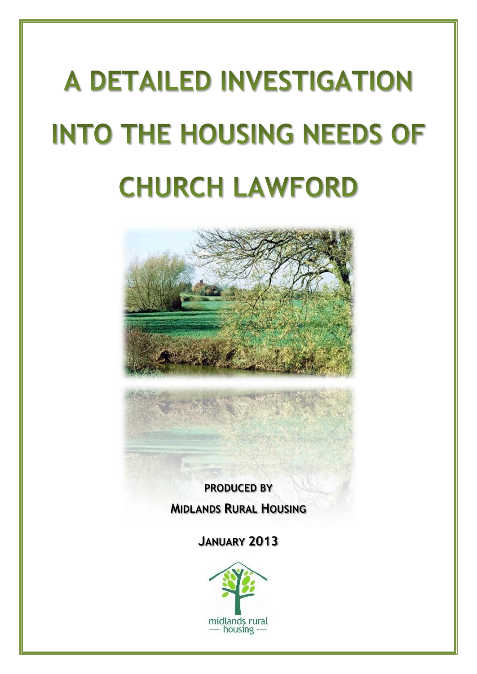# **A DETAILED INVESTIGATION INTO THE HOUSING NEEDS OF CHURCH LAWFORD**



**PRODUCED BY MIDLANDS RURAL HOUSING**

**JANUARY 2013**

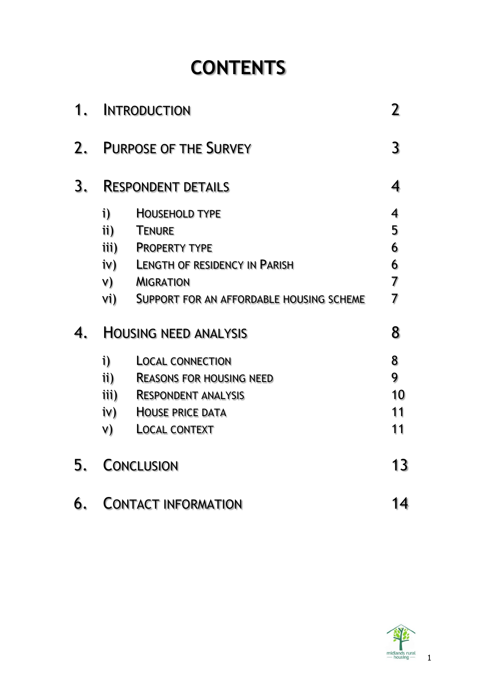# **CONTENTS**

| 1. | <b>INTRODUCTION</b>                                  |                                                                                                                                                                          |                            |
|----|------------------------------------------------------|--------------------------------------------------------------------------------------------------------------------------------------------------------------------------|----------------------------|
| 2. | <b>PURPOSE OF THE SURVEY</b>                         |                                                                                                                                                                          |                            |
| 3. | <b>RESPONDENT DETAILS</b>                            |                                                                                                                                                                          |                            |
|    | i)<br>$\mathbf{ii}$                                  | <b>HOUSEHOLD TYPE</b><br><b>TENURE</b><br>iii) PROPERTY TYPE<br><b>iv)</b> LENGTH OF RESIDENCY IN PARISH<br>V) MIGRATION<br>V1) SUPPORT FOR AN AFFORDABLE HOUSING SCHEME | 4<br>5<br>6<br>6<br>7<br>7 |
| 4. | <b>HOUSING NEED ANALYSIS</b>                         |                                                                                                                                                                          |                            |
|    | $\mathbf{i}$<br>$\mathbf{ii}$ )<br>iii)<br>iv)<br>V) | <b>LOCAL CONNECTION</b><br><b>REASONS FOR HOUSING NEED</b><br><b>RESPONDENT ANALYSIS</b><br><b>HOUSE PRICE DATA</b><br><b>LOCAL CONTEXT</b>                              | 8<br>9<br>10<br>11<br>11   |
| 5. | <b>CONCLUSION</b>                                    |                                                                                                                                                                          | 13                         |
| 6. | <b>CONTACT INFORMATION</b>                           |                                                                                                                                                                          |                            |

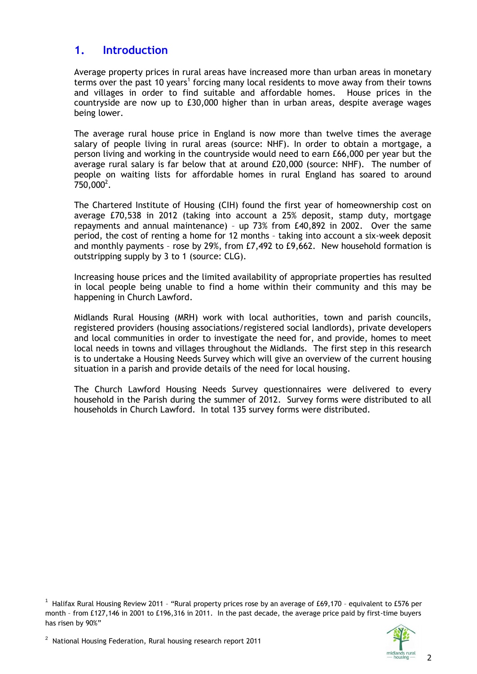### **1. Introduction**

Average property prices in rural areas have increased more than urban areas in monetary terms over the past 10 years<sup>1</sup> forcing many local residents to move away from their towns and villages in order to find suitable and affordable homes. House prices in the countryside are now up to £30,000 higher than in urban areas, despite average wages being lower.

The average rural house price in England is now more than twelve times the average salary of people living in rural areas (source: NHF). In order to obtain a mortgage, a person living and working in the countryside would need to earn £66,000 per year but the average rural salary is far below that at around £20,000 (source: NHF). The number of people on waiting lists for affordable homes in rural England has soared to around  $750,000^2$ .

The Chartered Institute of Housing (CIH) found the first year of homeownership cost on average £70,538 in 2012 (taking into account a 25% deposit, stamp duty, mortgage repayments and annual maintenance) – up 73% from £40,892 in 2002. Over the same period, the cost of renting a home for 12 months – taking into account a six-week deposit and monthly payments – rose by 29%, from £7,492 to £9,662. New household formation is outstripping supply by 3 to 1 (source: CLG).

Increasing house prices and the limited availability of appropriate properties has resulted in local people being unable to find a home within their community and this may be happening in Church Lawford.

Midlands Rural Housing (MRH) work with local authorities, town and parish councils, registered providers (housing associations/registered social landlords), private developers and local communities in order to investigate the need for, and provide, homes to meet local needs in towns and villages throughout the Midlands. The first step in this research is to undertake a Housing Needs Survey which will give an overview of the current housing situation in a parish and provide details of the need for local housing.

The Church Lawford Housing Needs Survey questionnaires were delivered to every household in the Parish during the summer of 2012. Survey forms were distributed to all households in Church Lawford. In total 135 survey forms were distributed.

 $^{\rm 1}$  Halifax Rural Housing Review 2011 - "Rural property prices rose by an average of £69,170 - equivalent to £576 per month – from £127,146 in 2001 to £196,316 in 2011. In the past decade, the average price paid by first-time buyers has risen by 90%"

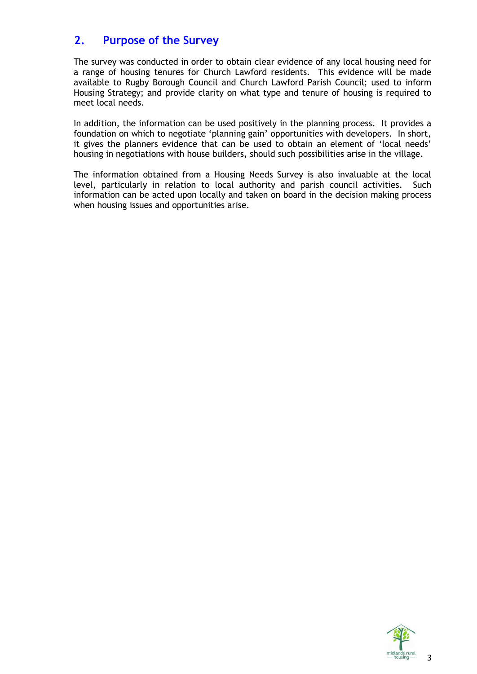## **2. Purpose of the Survey**

The survey was conducted in order to obtain clear evidence of any local housing need for a range of housing tenures for Church Lawford residents. This evidence will be made available to Rugby Borough Council and Church Lawford Parish Council; used to inform Housing Strategy; and provide clarity on what type and tenure of housing is required to meet local needs.

In addition, the information can be used positively in the planning process. It provides a foundation on which to negotiate 'planning gain' opportunities with developers. In short, it gives the planners evidence that can be used to obtain an element of 'local needs' housing in negotiations with house builders, should such possibilities arise in the village.

The information obtained from a Housing Needs Survey is also invaluable at the local level, particularly in relation to local authority and parish council activities. Such information can be acted upon locally and taken on board in the decision making process when housing issues and opportunities arise.

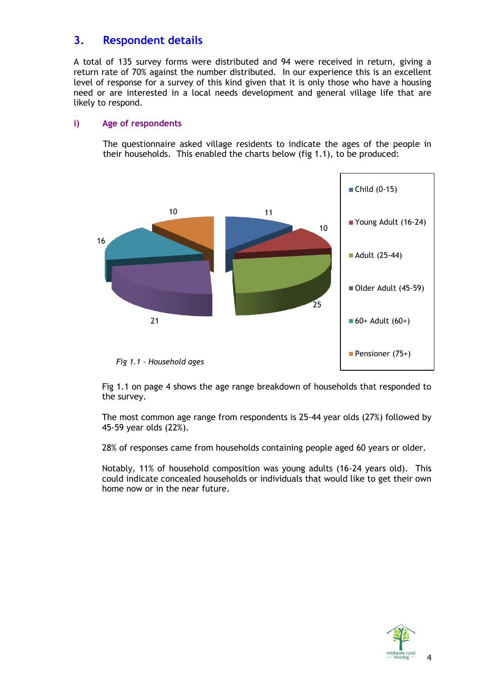# **3. Respondent details**

A total of 135 survey forms were distributed and 94 were received in return, giving a return rate of 70% against the number distributed. In our experience this is an excellent level of response for a survey of this kind given that it is only those who have a housing need or are interested in a local needs development and general village life that are likely to respond.

#### **i) Age of respondents**

The questionnaire asked village residents to indicate the ages of the people in their households. This enabled the charts below (fig 1.1), to be produced:



Fig 1.1 on page 4 shows the age range breakdown of households that responded to the survey.

The most common age range from respondents is 25-44 year olds (27%) followed by 45-59 year olds (22%).

28% of responses came from households containing people aged 60 years or older.

Notably, 11% of household composition was young adults (16-24 years old). This could indicate concealed households or individuals that would like to get their own home now or in the near future.

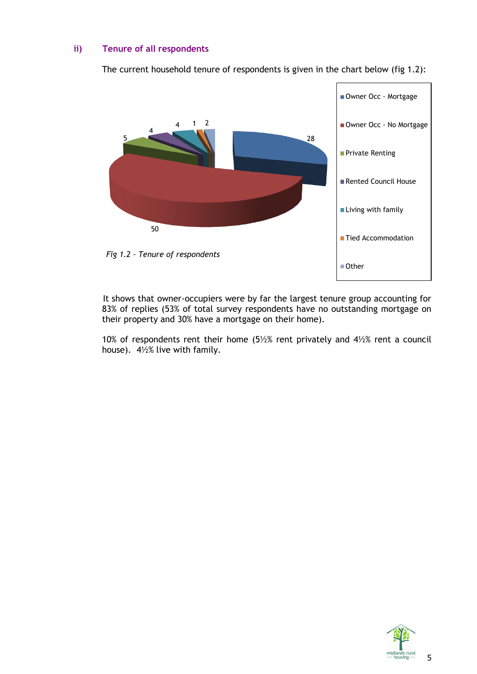#### **ii) Tenure of all respondents**

The current household tenure of respondents is given in the chart below (fig 1.2):



It shows that owner-occupiers were by far the largest tenure group accounting for 83% of replies (53% of total survey respondents have no outstanding mortgage on their property and 30% have a mortgage on their home).

10% of respondents rent their home (5½% rent privately and 4½% rent a council house). 4½% live with family.

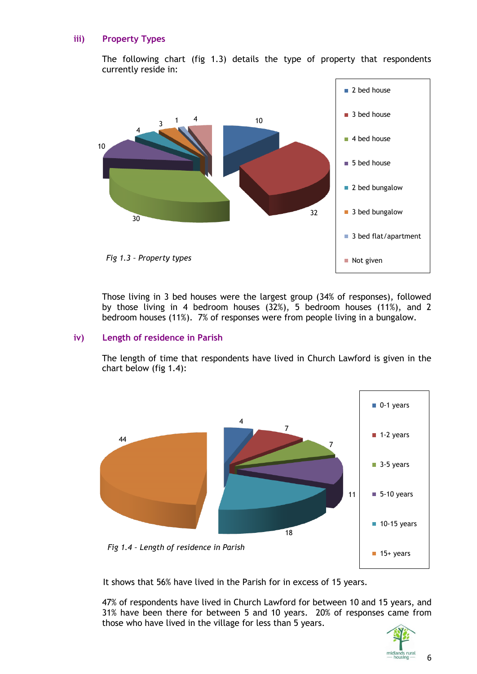#### **iii) Property Types**

The following chart (fig 1.3) details the type of property that respondents currently reside in:



Those living in 3 bed houses were the largest group (34% of responses), followed by those living in 4 bedroom houses (32%), 5 bedroom houses (11%), and 2 bedroom houses (11%). 7% of responses were from people living in a bungalow.

#### **iv) Length of residence in Parish**

The length of time that respondents have lived in Church Lawford is given in the chart below (fig 1.4):



It shows that 56% have lived in the Parish for in excess of 15 years.

47% of respondents have lived in Church Lawford for between 10 and 15 years, and 31% have been there for between 5 and 10 years. 20% of responses came from those who have lived in the village for less than 5 years.



6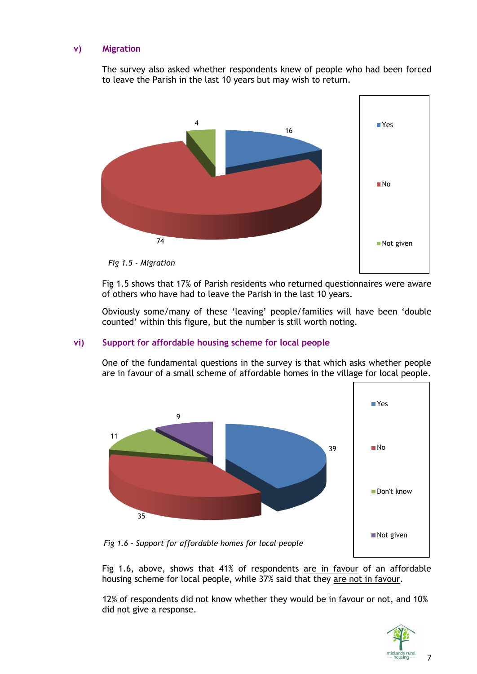#### **v) Migration**

The survey also asked whether respondents knew of people who had been forced to leave the Parish in the last 10 years but may wish to return.



Fig 1.5 shows that 17% of Parish residents who returned questionnaires were aware of others who have had to leave the Parish in the last 10 years.

Obviously some/many of these 'leaving' people/families will have been 'double counted' within this figure, but the number is still worth noting.

#### **vi) Support for affordable housing scheme for local people**

One of the fundamental questions in the survey is that which asks whether people are in favour of a small scheme of affordable homes in the village for local people.



Fig 1.6, above, shows that 41% of respondents are in favour of an affordable housing scheme for local people, while 37% said that they are not in favour.

12% of respondents did not know whether they would be in favour or not, and 10% did not give a response.



7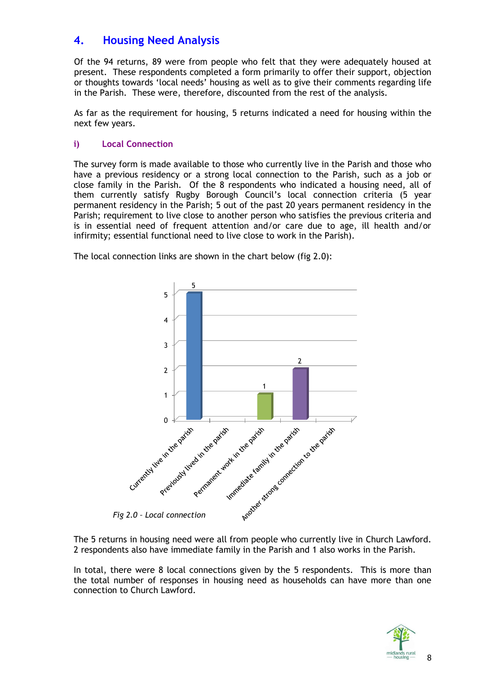# **4. Housing Need Analysis**

Of the 94 returns, 89 were from people who felt that they were adequately housed at present. These respondents completed a form primarily to offer their support, objection or thoughts towards 'local needs' housing as well as to give their comments regarding life in the Parish. These were, therefore, discounted from the rest of the analysis.

As far as the requirement for housing, 5 returns indicated a need for housing within the next few years.

#### **i) Local Connection**

The survey form is made available to those who currently live in the Parish and those who have a previous residency or a strong local connection to the Parish, such as a job or close family in the Parish. Of the 8 respondents who indicated a housing need, all of them currently satisfy Rugby Borough Council's local connection criteria (5 year permanent residency in the Parish; 5 out of the past 20 years permanent residency in the Parish; requirement to live close to another person who satisfies the previous criteria and is in essential need of frequent attention and/or care due to age, ill health and/or infirmity; essential functional need to live close to work in the Parish).



The local connection links are shown in the chart below (fig 2.0):

The 5 returns in housing need were all from people who currently live in Church Lawford. 2 respondents also have immediate family in the Parish and 1 also works in the Parish.

In total, there were 8 local connections given by the 5 respondents. This is more than the total number of responses in housing need as households can have more than one connection to Church Lawford.

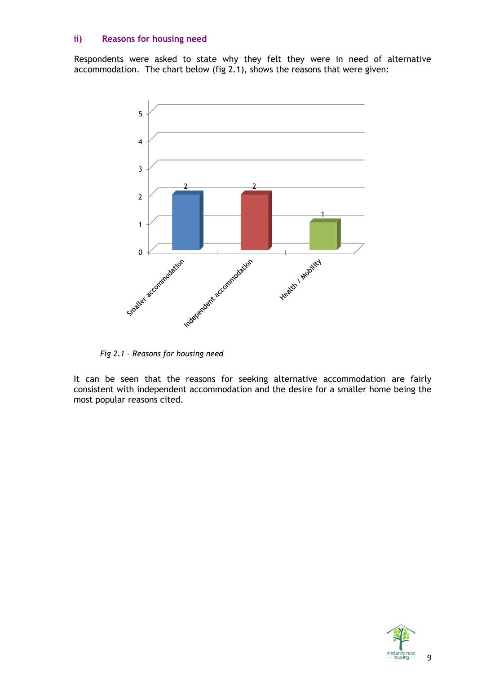#### **ii) Reasons for housing need**

Respondents were asked to state why they felt they were in need of alternative accommodation. The chart below (fig 2.1), shows the reasons that were given:



*Fig 2.1 – Reasons for housing need*

It can be seen that the reasons for seeking alternative accommodation are fairly consistent with independent accommodation and the desire for a smaller home being the most popular reasons cited.

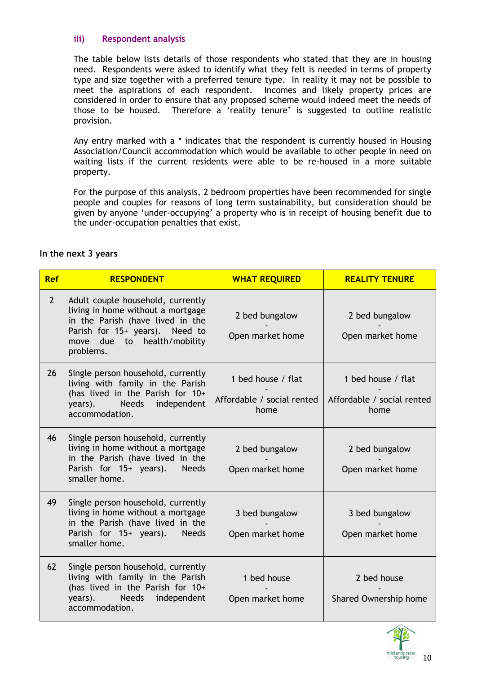#### **iii) Respondent analysis**

The table below lists details of those respondents who stated that they are in housing need. Respondents were asked to identify what they felt is needed in terms of property type and size together with a preferred tenure type. In reality it may not be possible to meet the aspirations of each respondent. Incomes and likely property prices are considered in order to ensure that any proposed scheme would indeed meet the needs of those to be housed. Therefore a 'reality tenure' is suggested to outline realistic provision.

Any entry marked with a \* indicates that the respondent is currently housed in Housing Association/Council accommodation which would be available to other people in need on waiting lists if the current residents were able to be re-housed in a more suitable property.

For the purpose of this analysis, 2 bedroom properties have been recommended for single people and couples for reasons of long term sustainability, but consideration should be given by anyone 'under-occupying' a property who is in receipt of housing benefit due to the under-occupation penalties that exist.

| <b>Ref</b>  | <b>RESPONDENT</b>                                                                                                                                                                        | <b>WHAT REQUIRED</b>                                     | <b>REALITY TENURE</b>                                    |
|-------------|------------------------------------------------------------------------------------------------------------------------------------------------------------------------------------------|----------------------------------------------------------|----------------------------------------------------------|
| $2^{\circ}$ | Adult couple household, currently<br>living in home without a mortgage<br>in the Parish (have lived in the<br>Parish for 15+ years). Need to<br>move due to health/mobility<br>problems. | 2 bed bungalow<br>Open market home                       | 2 bed bungalow<br>Open market home                       |
| 26          | Single person household, currently<br>living with family in the Parish<br>(has lived in the Parish for 10+<br>years). Needs independent<br>accommodation.                                | 1 bed house / flat<br>Affordable / social rented<br>home | 1 bed house / flat<br>Affordable / social rented<br>home |
| 46          | Single person household, currently<br>living in home without a mortgage<br>in the Parish (have lived in the<br>Parish for 15+ years).<br><b>Needs</b><br>smaller home.                   | 2 bed bungalow<br>Open market home                       | 2 bed bungalow<br>Open market home                       |
| 49          | Single person household, currently<br>living in home without a mortgage<br>in the Parish (have lived in the<br>Parish for 15+ years). Needs<br>smaller home.                             | 3 bed bungalow<br>Open market home                       | 3 bed bungalow<br>Open market home                       |
| 62          | Single person household, currently<br>living with family in the Parish<br>(has lived in the Parish for 10+<br>years). Needs independent<br>accommodation.                                | 1 bed house<br>Open market home                          | 2 bed house<br>Shared Ownership home                     |

#### **In the next 3 years**

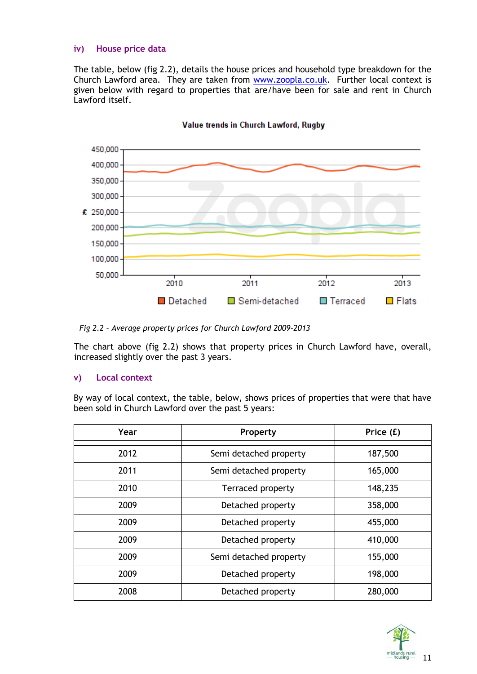#### **iv) House price data**

The table, below (fig 2.2), details the house prices and household type breakdown for the Church Lawford area. They are taken from [www.zoopla.co.uk.](http://www.zoopla.co.uk/) Further local context is given below with regard to properties that are/have been for sale and rent in Church Lawford itself.



#### Value trends in Church Lawford, Rugby

*Fig 2.2 – Average property prices for Church Lawford 2009-2013*

The chart above (fig 2.2) shows that property prices in Church Lawford have, overall, increased slightly over the past 3 years.

#### **v) Local context**

By way of local context, the table, below, shows prices of properties that were that have been sold in Church Lawford over the past 5 years:

| Year | Property               | Price (£) |
|------|------------------------|-----------|
| 2012 | Semi detached property | 187,500   |
| 2011 | Semi detached property | 165,000   |
| 2010 | Terraced property      | 148,235   |
| 2009 | Detached property      | 358,000   |
| 2009 | Detached property      | 455,000   |
| 2009 | Detached property      | 410,000   |
| 2009 | Semi detached property | 155,000   |
| 2009 | Detached property      | 198,000   |
| 2008 | Detached property      | 280,000   |

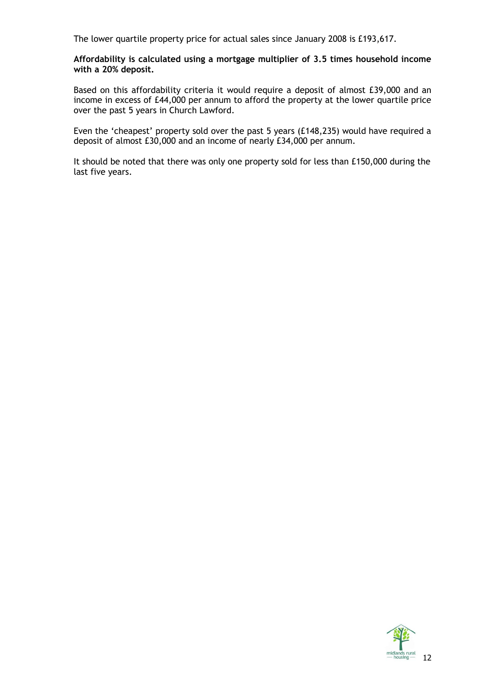The lower quartile property price for actual sales since January 2008 is £193,617.

**Affordability is calculated using a mortgage multiplier of 3.5 times household income with a 20% deposit.** 

Based on this affordability criteria it would require a deposit of almost £39,000 and an income in excess of £44,000 per annum to afford the property at the lower quartile price over the past 5 years in Church Lawford.

Even the 'cheapest' property sold over the past 5 years (£148,235) would have required a deposit of almost £30,000 and an income of nearly £34,000 per annum.

It should be noted that there was only one property sold for less than £150,000 during the last five years.

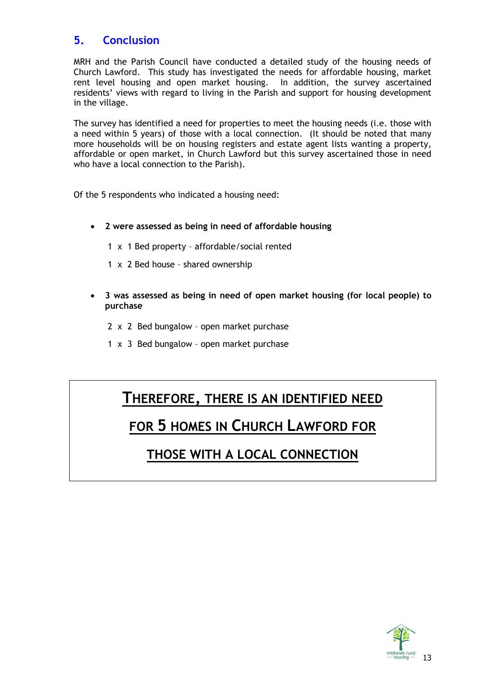# **5. Conclusion**

MRH and the Parish Council have conducted a detailed study of the housing needs of Church Lawford. This study has investigated the needs for affordable housing, market rent level housing and open market housing. In addition, the survey ascertained residents' views with regard to living in the Parish and support for housing development in the village.

The survey has identified a need for properties to meet the housing needs (i.e. those with a need within 5 years) of those with a local connection. (It should be noted that many more households will be on housing registers and estate agent lists wanting a property, affordable or open market, in Church Lawford but this survey ascertained those in need who have a local connection to the Parish).

Of the 5 respondents who indicated a housing need:

- **2 were assessed as being in need of affordable housing**
	- 1 x 1 Bed property affordable/social rented
	- 1 x 2 Bed house shared ownership
- **3 was assessed as being in need of open market housing (for local people) to purchase**
	- 2 x 2 Bed bungalow open market purchase
	- 1 x 3 Bed bungalow open market purchase

# **THEREFORE, THERE IS AN IDENTIFIED NEED**

# **FOR 5 HOMES IN CHURCH LAWFORD FOR**

# **THOSE WITH A LOCAL CONNECTION**